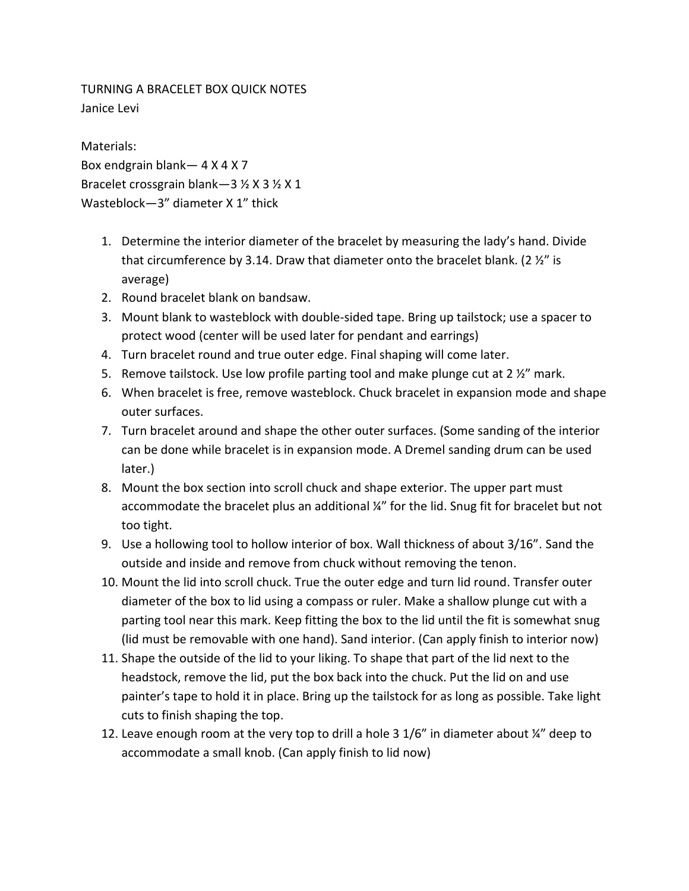TURNING A BRACELET BOX QUICK NOTES Janice Levi

Materials: Box endgrain blank— 4 X 4 X 7 Bracelet crossgrain blank—3 ½ X 3 ½ X 1 Wasteblock—3" diameter X 1" thick

- 1. Determine the interior diameter of the bracelet by measuring the lady's hand. Divide that circumference by 3.14. Draw that diameter onto the bracelet blank. (2  $\frac{1}{2}$ " is average)
- 2. Round bracelet blank on bandsaw.
- 3. Mount blank to wasteblock with double-sided tape. Bring up tailstock; use a spacer to protect wood (center will be used later for pendant and earrings)
- 4. Turn bracelet round and true outer edge. Final shaping will come later.
- 5. Remove tailstock. Use low profile parting tool and make plunge cut at  $2 \frac{y}{n}$  mark.
- 6. When bracelet is free, remove wasteblock. Chuck bracelet in expansion mode and shape outer surfaces.
- 7. Turn bracelet around and shape the other outer surfaces. (Some sanding of the interior can be done while bracelet is in expansion mode. A Dremel sanding drum can be used later.)
- 8. Mount the box section into scroll chuck and shape exterior. The upper part must accommodate the bracelet plus an additional ¼" for the lid. Snug fit for bracelet but not too tight.
- 9. Use a hollowing tool to hollow interior of box. Wall thickness of about 3/16". Sand the outside and inside and remove from chuck without removing the tenon.
- 10. Mount the lid into scroll chuck. True the outer edge and turn lid round. Transfer outer diameter of the box to lid using a compass or ruler. Make a shallow plunge cut with a parting tool near this mark. Keep fitting the box to the lid until the fit is somewhat snug (lid must be removable with one hand). Sand interior. (Can apply finish to interior now)
- 11. Shape the outside of the lid to your liking. To shape that part of the lid next to the headstock, remove the lid, put the box back into the chuck. Put the lid on and use painter's tape to hold it in place. Bring up the tailstock for as long as possible. Take light cuts to finish shaping the top.
- 12. Leave enough room at the very top to drill a hole 3  $1/6$ " in diameter about  $\frac{1}{4}$ " deep to accommodate a small knob. (Can apply finish to lid now)